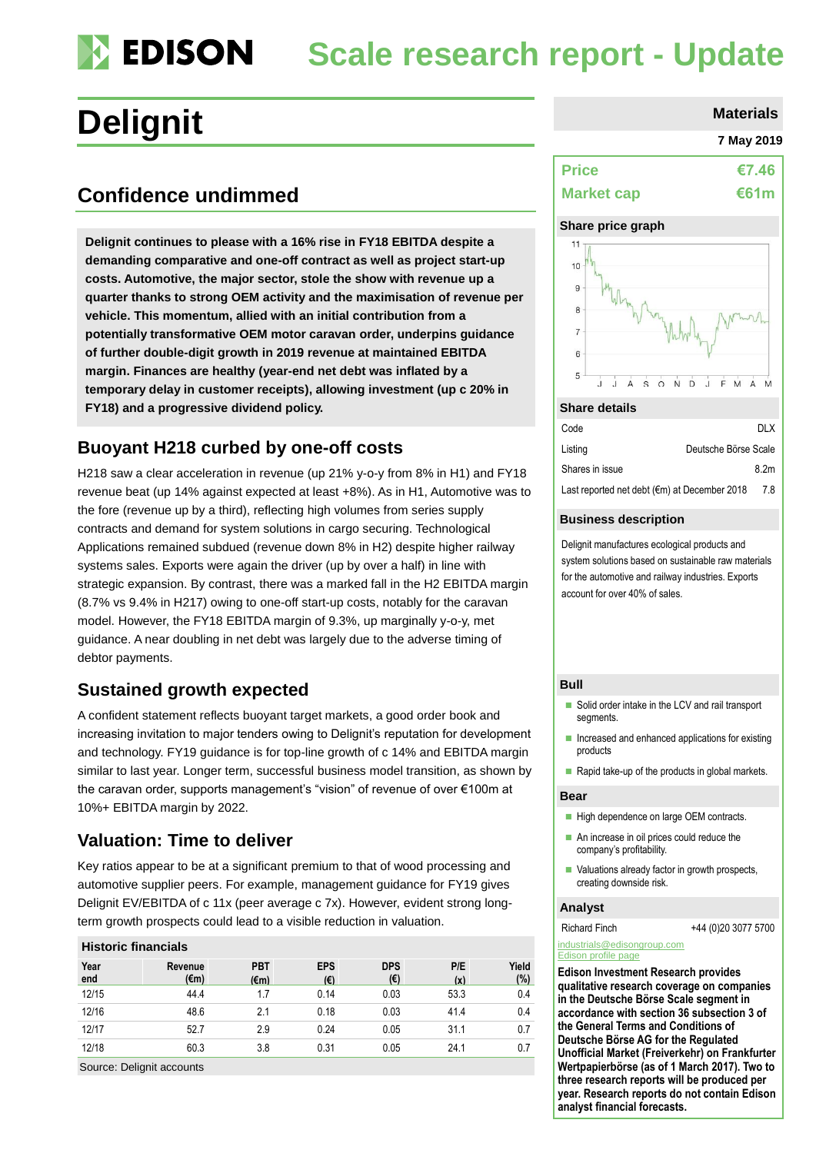### **EDISON Scale research report - Update**

# **Delignit** Materials

## **Confidence undimmed**

**Delignit continues to please with a 16% rise in FY18 EBITDA despite a demanding comparative and one-off contract as well as project start-up costs. Automotive, the major sector, stole the show with revenue up a quarter thanks to strong OEM activity and the maximisation of revenue per vehicle. This momentum, allied with an initial contribution from a potentially transformative OEM motor caravan order, underpins guidance of further double-digit growth in 2019 revenue at maintained EBITDA margin. Finances are healthy (year-end net debt was inflated by a temporary delay in customer receipts), allowing investment (up c 20% in FY18) and a progressive dividend policy.** 

### **Buoyant H218 curbed by one-off costs**

H218 saw a clear acceleration in revenue (up 21% y-o-y from 8% in H1) and FY18 revenue beat (up 14% against expected at least +8%). As in H1, Automotive was to the fore (revenue up by a third), reflecting high volumes from series supply contracts and demand for system solutions in cargo securing. Technological Applications remained subdued (revenue down 8% in H2) despite higher railway systems sales. Exports were again the driver (up by over a half) in line with strategic expansion. By contrast, there was a marked fall in the H2 EBITDA margin (8.7% vs 9.4% in H217) owing to one-off start-up costs, notably for the caravan model. However, the FY18 EBITDA margin of 9.3%, up marginally y-o-y, met guidance. A near doubling in net debt was largely due to the adverse timing of debtor payments.

### **Sustained growth expected**

A confident statement reflects buoyant target markets, a good order book and increasing invitation to major tenders owing to Delignit's reputation for development and technology. FY19 guidance is for top-line growth of c 14% and EBITDA margin similar to last year. Longer term, successful business model transition, as shown by the caravan order, supports management's "vision" of revenue of over €100m at 10%+ EBITDA margin by 2022.

### **Valuation: Time to deliver**

Key ratios appear to be at a significant premium to that of wood processing and automotive supplier peers. For example, management guidance for FY19 gives Delignit EV/EBITDA of c 11x (peer average c 7x). However, evident strong longterm growth prospects could lead to a visible reduction in valuation.

#### **Historic financials**

| Year<br>end | Revenue<br>$(\epsilon m)$ | <b>PBT</b><br>$(\epsilon m)$ | <b>EPS</b><br>(€) | <b>DPS</b><br>(€) | P/E<br>(x) | Yield<br>(%) |
|-------------|---------------------------|------------------------------|-------------------|-------------------|------------|--------------|
| 12/15       | 44.4                      | 1.7                          | 0.14              | 0.03              | 53.3       | 0.4          |
| 12/16       | 48.6                      | 2.1                          | 0.18              | 0.03              | 41.4       | 0.4          |
| 12/17       | 52.7                      | 2.9                          | 0.24              | 0.05              | 31.1       | 0.7          |
| 12/18       | 60.3                      | 3.8                          | 0.31              | 0.05              | 24.1       | 0.7          |

Source: Delignit accounts

#### **7 May 2019**

| <b>Price</b>      | €7.46 $\vert$ |
|-------------------|---------------|
| <b>Market cap</b> | €61m          |

#### **Share price graph**



#### **Share details**

| Code                                         |                      | DI X |
|----------------------------------------------|----------------------|------|
| Listing                                      | Deutsche Börse Scale |      |
| Shares in issue                              |                      | 8.2m |
| Last reported net debt (€m) at December 2018 |                      | 7.8  |

#### **Business description**

Delignit manufactures ecological products and system solutions based on sustainable raw materials for the automotive and railway industries. Exports account for over 40% of sales.

#### **Bull**

- Solid order intake in the LCV and rail transport segments.
- $\blacksquare$  Increased and enhanced applications for existing products
- Rapid take-up of the products in global markets.

#### **Bear**

- High dependence on large OEM contracts.
- An increase in oil prices could reduce the company's profitability.
- Valuations already factor in growth prospects, creating downside risk.

#### **Analyst**

Richard Finch +44 (0)20 3077 5700

[industrials@edisongroup.com](mailto:industrials@edisongroup.com) [Edison profile page](http://www.edisoninvestmentresearch.co.uk/)

**Edison Investment Research provides qualitative research coverage on companies in the Deutsche Börse Scale segment in accordance with section 36 subsection 3 of the General Terms and Conditions of Deutsche Börse AG for the Regulated Unofficial Market (Freiverkehr) on Frankfurter Wertpapierbörse (as of 1 March 2017). Two to three research reports will be produced per year. Research reports do not contain Edison analyst financial forecasts.**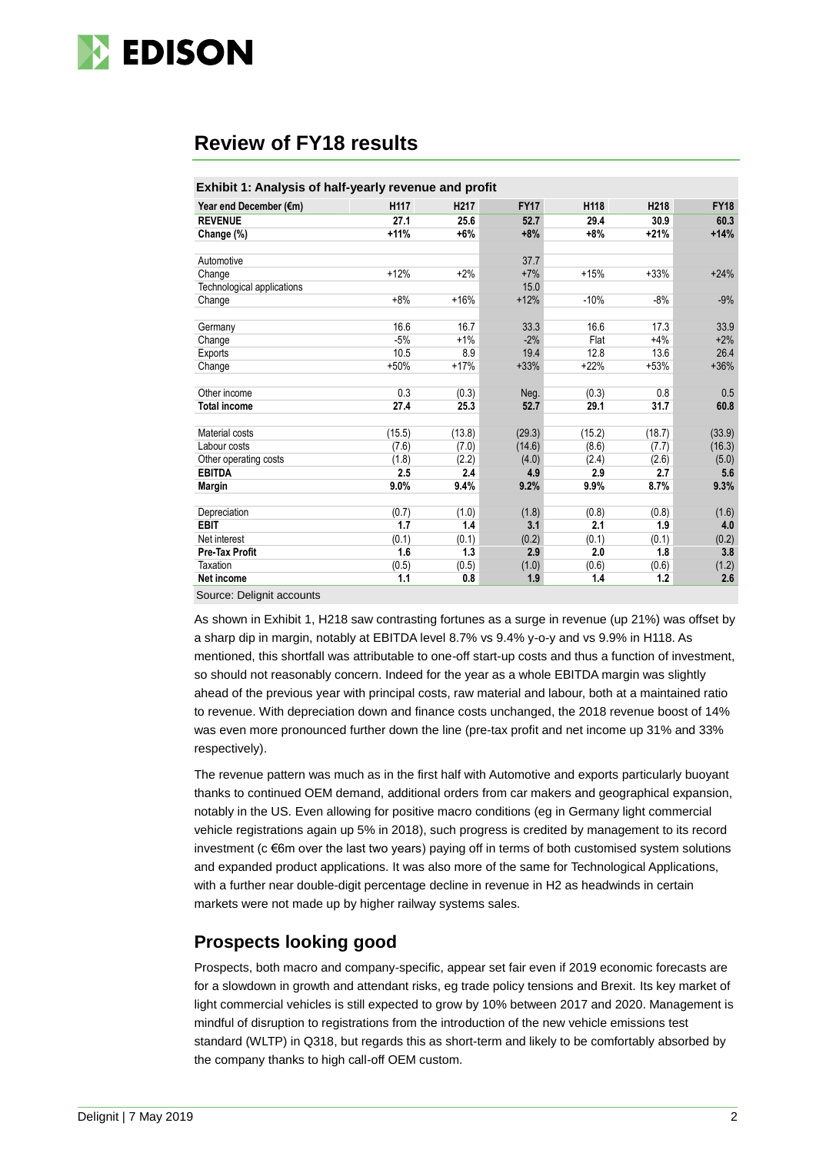

### **Review of FY18 results**

| Year end December (€m)<br><b>REVENUE</b><br>Change (%)<br>Automotive | H117<br>27.1<br>$+11%$<br>$+12%$ | H <sub>217</sub><br>25.6<br>$+6%$ | <b>FY17</b><br>52.7<br>$+8%$ | H118<br>29.4<br>$+8%$ | H218<br>30.9 | <b>FY18</b><br>60.3 |
|----------------------------------------------------------------------|----------------------------------|-----------------------------------|------------------------------|-----------------------|--------------|---------------------|
|                                                                      |                                  |                                   |                              |                       |              |                     |
|                                                                      |                                  |                                   |                              |                       |              |                     |
|                                                                      |                                  |                                   |                              |                       | $+21%$       | $+14%$              |
|                                                                      |                                  |                                   | 37.7                         |                       |              |                     |
| Change                                                               |                                  | $+2%$                             | $+7%$                        | $+15%$                | $+33%$       | $+24%$              |
| Technological applications                                           |                                  |                                   | 15.0                         |                       |              |                     |
| Change                                                               | $+8%$                            | $+16%$                            | $+12%$                       | $-10%$                | $-8%$        | $-9%$               |
|                                                                      |                                  |                                   |                              |                       |              |                     |
| Germany                                                              | 16.6                             | 16.7                              | 33.3                         | 16.6                  | 17.3         | 33.9                |
| Change                                                               | $-5%$                            | $+1%$                             | $-2%$                        | Flat                  | $+4%$        | $+2%$               |
| Exports                                                              | 10.5                             | 8.9                               | 19.4                         | 12.8                  | 13.6         | 26.4                |
| Change                                                               | $+50%$                           | $+17%$                            | $+33%$                       | $+22%$                | $+53%$       | $+36%$              |
|                                                                      |                                  |                                   |                              |                       |              |                     |
| Other income                                                         | 0.3                              | (0.3)                             | Neg.                         | (0.3)                 | 0.8          | 0.5                 |
| <b>Total income</b>                                                  | 27.4                             | 25.3                              | 52.7                         | 29.1                  | 31.7         | 60.8                |
|                                                                      |                                  |                                   |                              |                       |              |                     |
| Material costs                                                       | (15.5)                           | (13.8)                            | (29.3)                       | (15.2)                | (18.7)       | (33.9)              |
| Labour costs                                                         | (7.6)                            | (7.0)                             | (14.6)                       | (8.6)                 | (7.7)        | (16.3)              |
| Other operating costs                                                | (1.8)                            | (2.2)                             | (4.0)                        | (2.4)                 | (2.6)        | (5.0)               |
| <b>EBITDA</b>                                                        | 2.5                              | 2.4                               | 4.9                          | 2.9                   | 2.7          | 5.6                 |
| <b>Margin</b>                                                        | 9.0%                             | 9.4%                              | 9.2%                         | 9.9%                  | 8.7%         | 9.3%                |
|                                                                      |                                  |                                   |                              |                       |              |                     |
| Depreciation                                                         | (0.7)                            | (1.0)                             | (1.8)                        | (0.8)                 | (0.8)        | (1.6)               |
| <b>EBIT</b>                                                          | 1.7                              | 1.4                               | 3.1                          | 2.1                   | 1.9          | 4.0                 |
| Net interest                                                         | (0.1)                            | (0.1)                             | (0.2)                        | (0.1)                 | (0.1)        | (0.2)               |
| <b>Pre-Tax Profit</b>                                                | 1.6                              | 1.3                               | 2.9                          | 2.0                   | 1.8          | 3.8                 |
| Taxation                                                             | (0.5)                            | (0.5)                             | (1.0)                        | (0.6)                 | (0.6)        | (1.2)               |
| Net income                                                           | 1.1                              | 0.8                               | 1.9                          | 1.4                   | 1.2          | 2.6                 |

Source: Delignit accounts

As shown in Exhibit 1, H218 saw contrasting fortunes as a surge in revenue (up 21%) was offset by a sharp dip in margin, notably at EBITDA level 8.7% vs 9.4% y-o-y and vs 9.9% in H118. As mentioned, this shortfall was attributable to one-off start-up costs and thus a function of investment, so should not reasonably concern. Indeed for the year as a whole EBITDA margin was slightly ahead of the previous year with principal costs, raw material and labour, both at a maintained ratio to revenue. With depreciation down and finance costs unchanged, the 2018 revenue boost of 14% was even more pronounced further down the line (pre-tax profit and net income up 31% and 33% respectively).

The revenue pattern was much as in the first half with Automotive and exports particularly buoyant thanks to continued OEM demand, additional orders from car makers and geographical expansion, notably in the US. Even allowing for positive macro conditions (eg in Germany light commercial vehicle registrations again up 5% in 2018), such progress is credited by management to its record investment ( $c \in 6$ m over the last two years) paying off in terms of both customised system solutions and expanded product applications. It was also more of the same for Technological Applications, with a further near double-digit percentage decline in revenue in H2 as headwinds in certain markets were not made up by higher railway systems sales.

### **Prospects looking good**

Prospects, both macro and company-specific, appear set fair even if 2019 economic forecasts are for a slowdown in growth and attendant risks, eg trade policy tensions and Brexit. Its key market of light commercial vehicles is still expected to grow by 10% between 2017 and 2020. Management is mindful of disruption to registrations from the introduction of the new vehicle emissions test standard (WLTP) in Q318, but regards this as short-term and likely to be comfortably absorbed by the company thanks to high call-off OEM custom.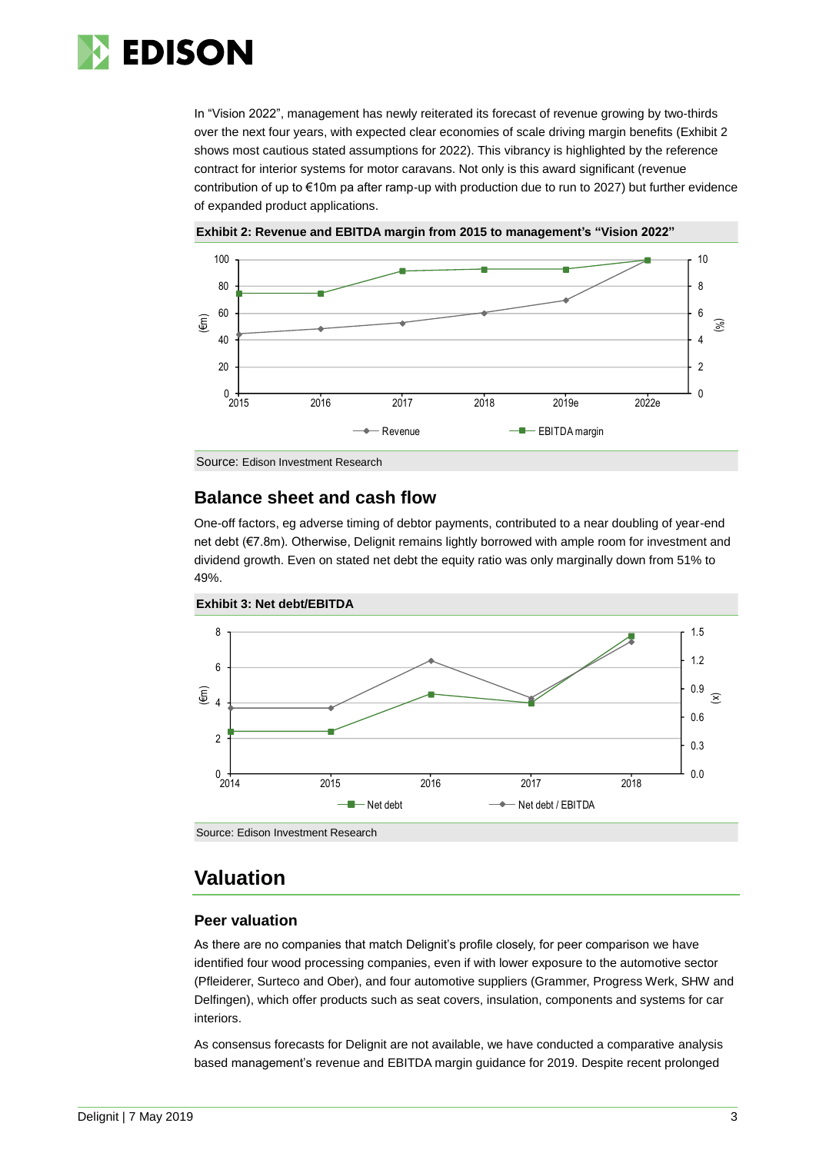

In "Vision 2022", management has newly reiterated its forecast of revenue growing by two-thirds over the next four years, with expected clear economies of scale driving margin benefits (Exhibit 2 shows most cautious stated assumptions for 2022). This vibrancy is highlighted by the reference contract for interior systems for motor caravans. Not only is this award significant (revenue contribution of up to €10m pa after ramp-up with production due to run to 2027) but further evidence of expanded product applications.



**Exhibit 2: Revenue and EBITDA margin from 2015 to management's "Vision 2022"**

Source: Edison Investment Research

### **Balance sheet and cash flow**

One-off factors, eg adverse timing of debtor payments, contributed to a near doubling of year-end net debt (€7.8m). Otherwise, Delignit remains lightly borrowed with ample room for investment and dividend growth. Even on stated net debt the equity ratio was only marginally down from 51% to 49%.



**Exhibit 3: Net debt/EBITDA**

Source: Edison Investment Research

### **Valuation**

### **Peer valuation**

As there are no companies that match Delignit's profile closely, for peer comparison we have identified four wood processing companies, even if with lower exposure to the automotive sector (Pfleiderer, Surteco and Ober), and four automotive suppliers (Grammer, Progress Werk, SHW and Delfingen), which offer products such as seat covers, insulation, components and systems for car interiors.

As consensus forecasts for Delignit are not available, we have conducted a comparative analysis based management's revenue and EBITDA margin guidance for 2019. Despite recent prolonged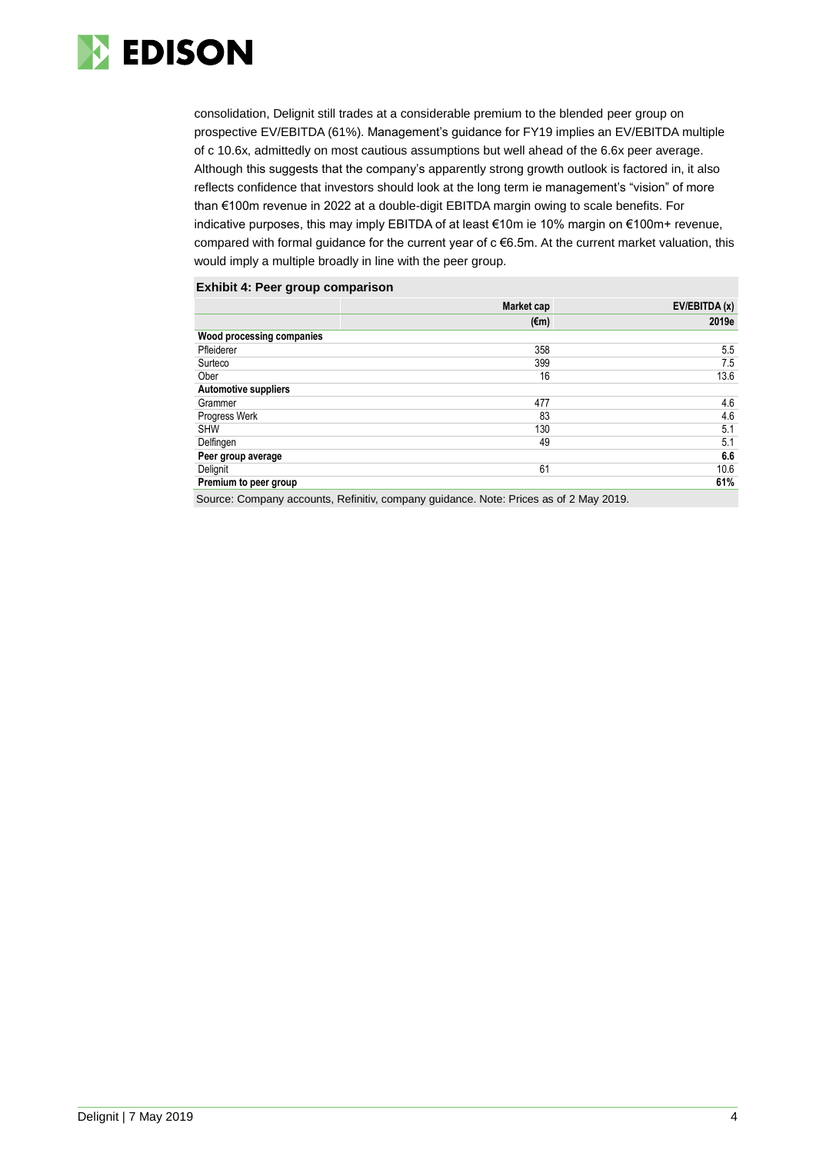

consolidation, Delignit still trades at a considerable premium to the blended peer group on prospective EV/EBITDA (61%). Management's guidance for FY19 implies an EV/EBITDA multiple of c 10.6x, admittedly on most cautious assumptions but well ahead of the 6.6x peer average. Although this suggests that the company's apparently strong growth outlook is factored in, it also reflects confidence that investors should look at the long term ie management's "vision" of more than €100m revenue in 2022 at a double-digit EBITDA margin owing to scale benefits. For indicative purposes, this may imply EBITDA of at least €10m ie 10% margin on €100m+ revenue, compared with formal guidance for the current year of c €6.5m. At the current market valuation, this would imply a multiple broadly in line with the peer group.

#### **Exhibit 4: Peer group comparison**

| 2019e<br>5.5<br>7.5<br>13.6 |
|-----------------------------|
|                             |
|                             |
|                             |
|                             |
|                             |
|                             |
| 4.6                         |
| 4.6                         |
| 5.1                         |
| 5.1                         |
| 6.6                         |
| 10.6                        |
| 61%                         |
|                             |

Source: Company accounts, Refinitiv, company guidance. Note: Prices as of 2 May 2019.